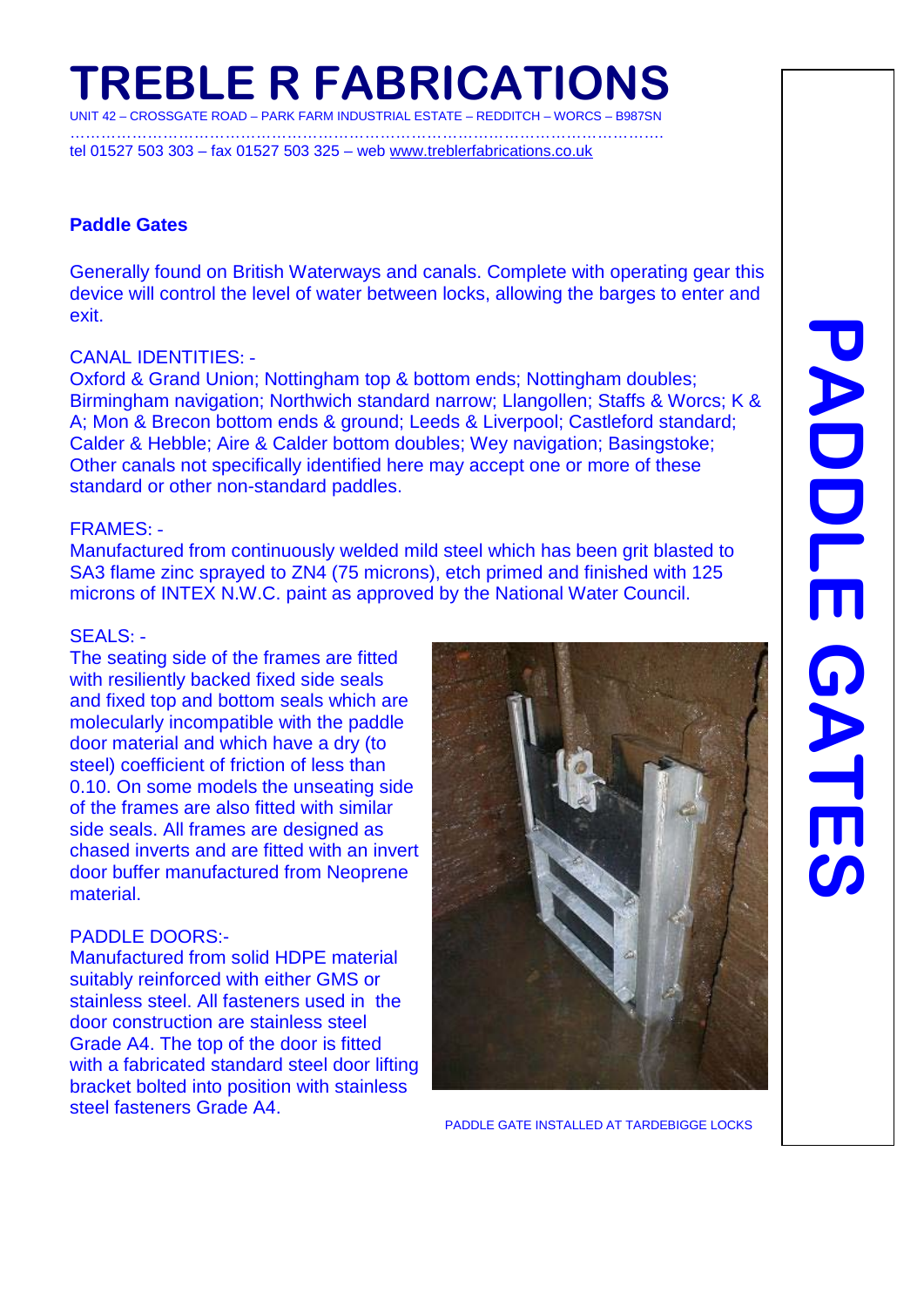# **TREBLE R FABRICATIONS**

UNIT 42 – CROSSGATE ROAD – PARK FARM INDUSTRIAL ESTATE – REDDITCH – WORCS – B987SN …………………………………………………………………………………………………….

tel 01527 503 303 – fax 01527 503 325 – web [www.treblerfabrications.co.uk](http://www.treblerfabrications.co.uk/)

### **Paddle Gates**

Generally found on British Waterways and canals. Complete with operating gear this device will control the level of water between locks, allowing the barges to enter and exit.

### CANAL IDENTITIES: -

Oxford & Grand Union; Nottingham top & bottom ends; Nottingham doubles; Birmingham navigation; Northwich standard narrow; Llangollen; Staffs & Worcs; K & A; Mon & Brecon bottom ends & ground; Leeds & Liverpool; Castleford standard; Calder & Hebble; Aire & Calder bottom doubles; Wey navigation; Basingstoke; Other canals not specifically identified here may accept one or more of these standard or other non-standard paddles.

### FRAMES: -

Manufactured from continuously welded mild steel which has been grit blasted to SA3 flame zinc sprayed to ZN4 (75 microns), etch primed and finished with 125 microns of INTEX N.W.C. paint as approved by the National Water Council.

### SEALS: -

The seating side of the frames are fitted with resiliently backed fixed side seals and fixed top and bottom seals which are molecularly incompatible with the paddle door material and which have a dry (to steel) coefficient of friction of less than 0.10. On some models the unseating side of the frames are also fitted with similar side seals. All frames are designed as chased inverts and are fitted with an invert door buffer manufactured from Neoprene material.

### PADDLE DOORS:-

Manufactured from solid HDPE material suitably reinforced with either GMS or stainless steel. All fasteners used in the door construction are stainless steel Grade A4. The top of the door is fitted with a fabricated standard steel door lifting bracket bolted into position with stainless<br>steel fasteners Grade A4.



PADDLE GATE INSTALLED AT TARDEBIGGE LOCKS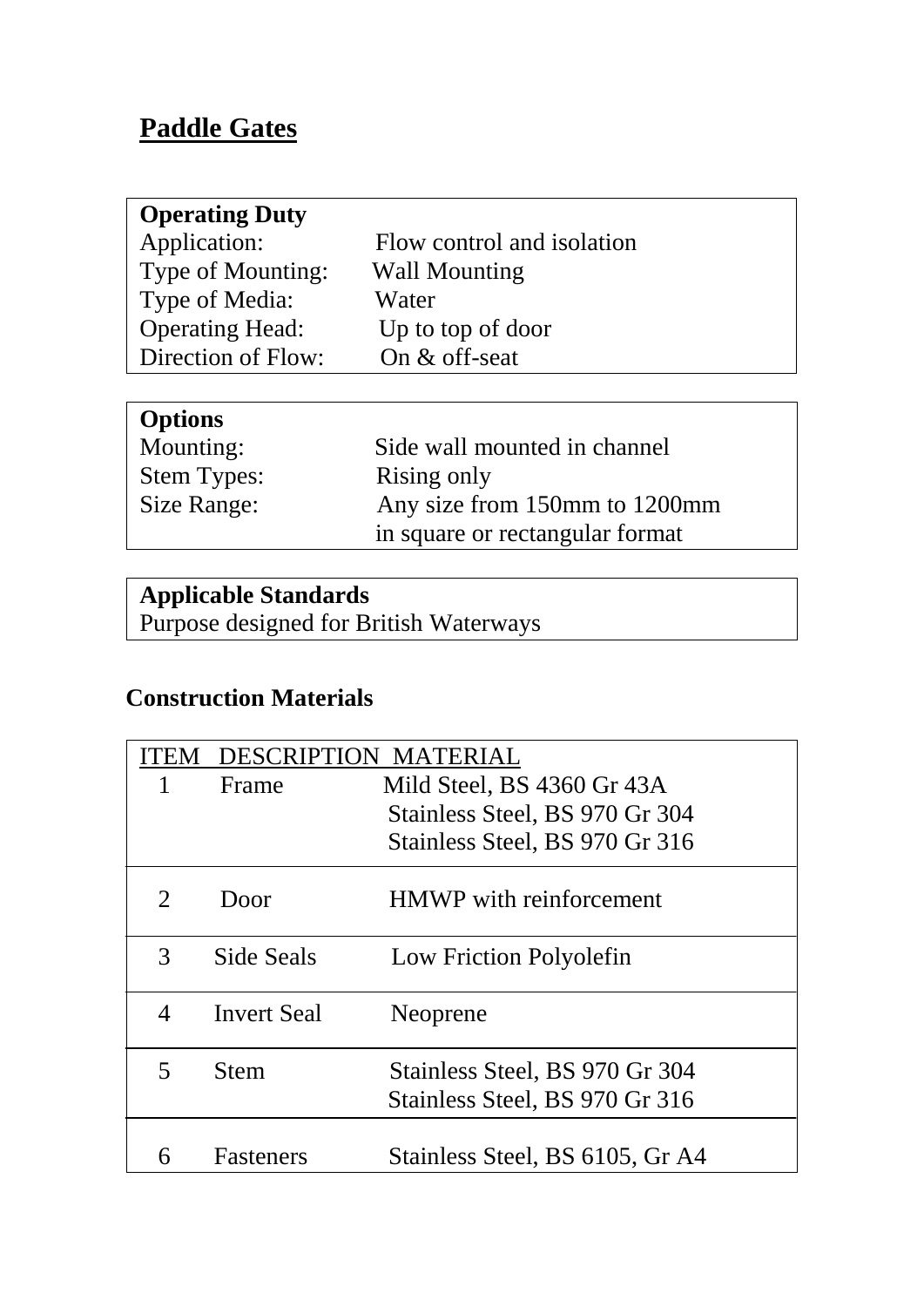# **Paddle Gates**

| <b>Operating Duty</b>  |                            |
|------------------------|----------------------------|
| Application:           | Flow control and isolation |
| Type of Mounting:      | <b>Wall Mounting</b>       |
| Type of Media:         | Water                      |
| <b>Operating Head:</b> | Up to top of door          |
| Direction of Flow:     | On $&$ off-seat            |
|                        |                            |

| <b>Options</b>     |                                 |
|--------------------|---------------------------------|
| Mounting:          | Side wall mounted in channel    |
| <b>Stem Types:</b> | Rising only                     |
| Size Range:        | Any size from 150mm to 1200mm   |
|                    | in square or rectangular format |

# **Applicable Standards**

Purpose designed for British Waterways

# **Construction Materials**

|                             | <b>DESCRIPTION</b> | MATERIAL                        |
|-----------------------------|--------------------|---------------------------------|
| 1                           | Frame              | Mild Steel, BS 4360 Gr 43A      |
|                             |                    | Stainless Steel, BS 970 Gr 304  |
|                             |                    | Stainless Steel, BS 970 Gr 316  |
| $\mathcal{D}_{\mathcal{L}}$ | Door               | <b>HMWP</b> with reinforcement  |
| 3                           | Side Seals         | Low Friction Polyolefin         |
| 4                           | <b>Invert Seal</b> | Neoprene                        |
| 5                           | <b>Stem</b>        | Stainless Steel, BS 970 Gr 304  |
|                             |                    | Stainless Steel, BS 970 Gr 316  |
|                             | <b>Fasteners</b>   | Stainless Steel, BS 6105, Gr A4 |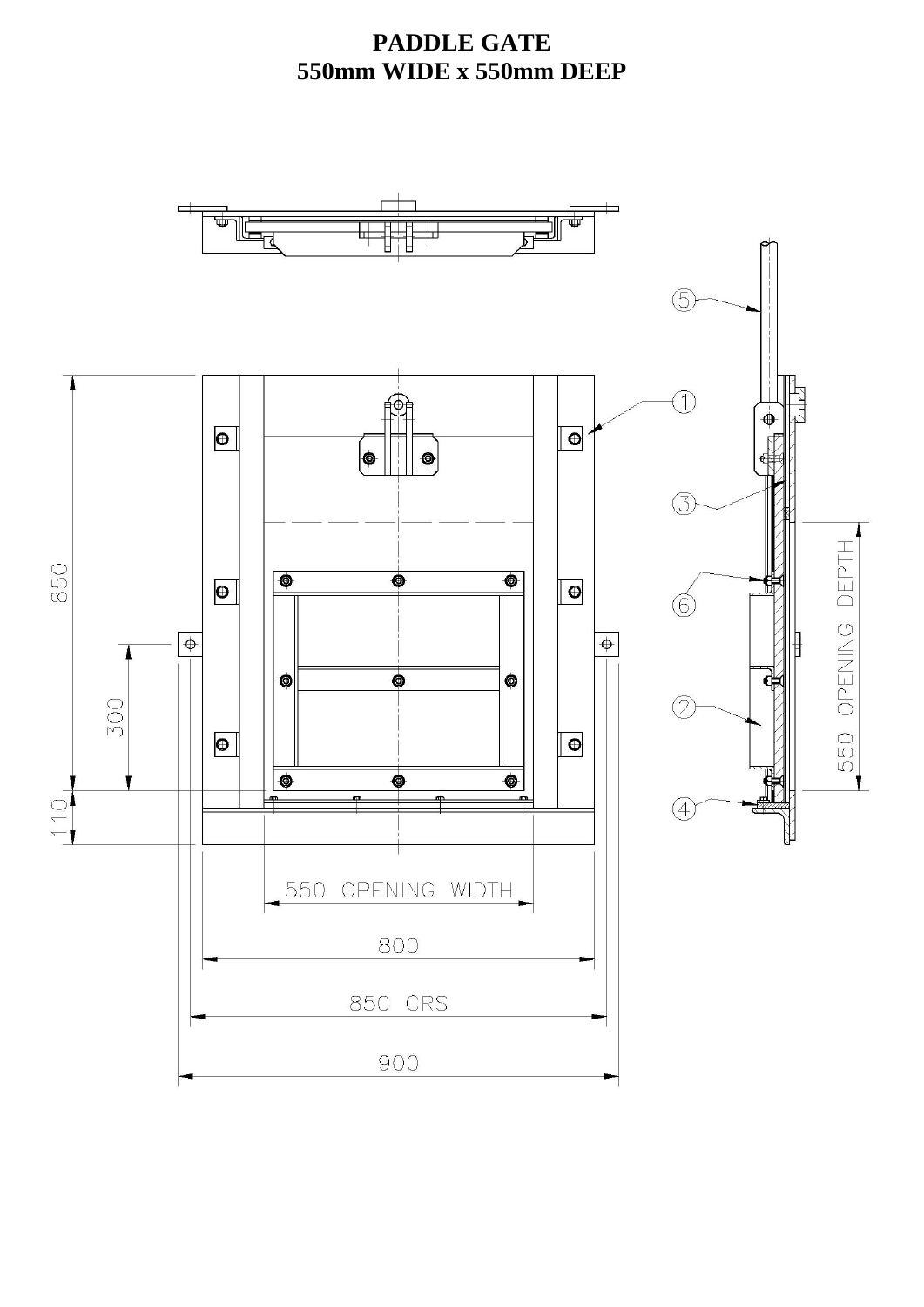## **PADDLE GATE 550mm WIDE x 550mm DEEP**

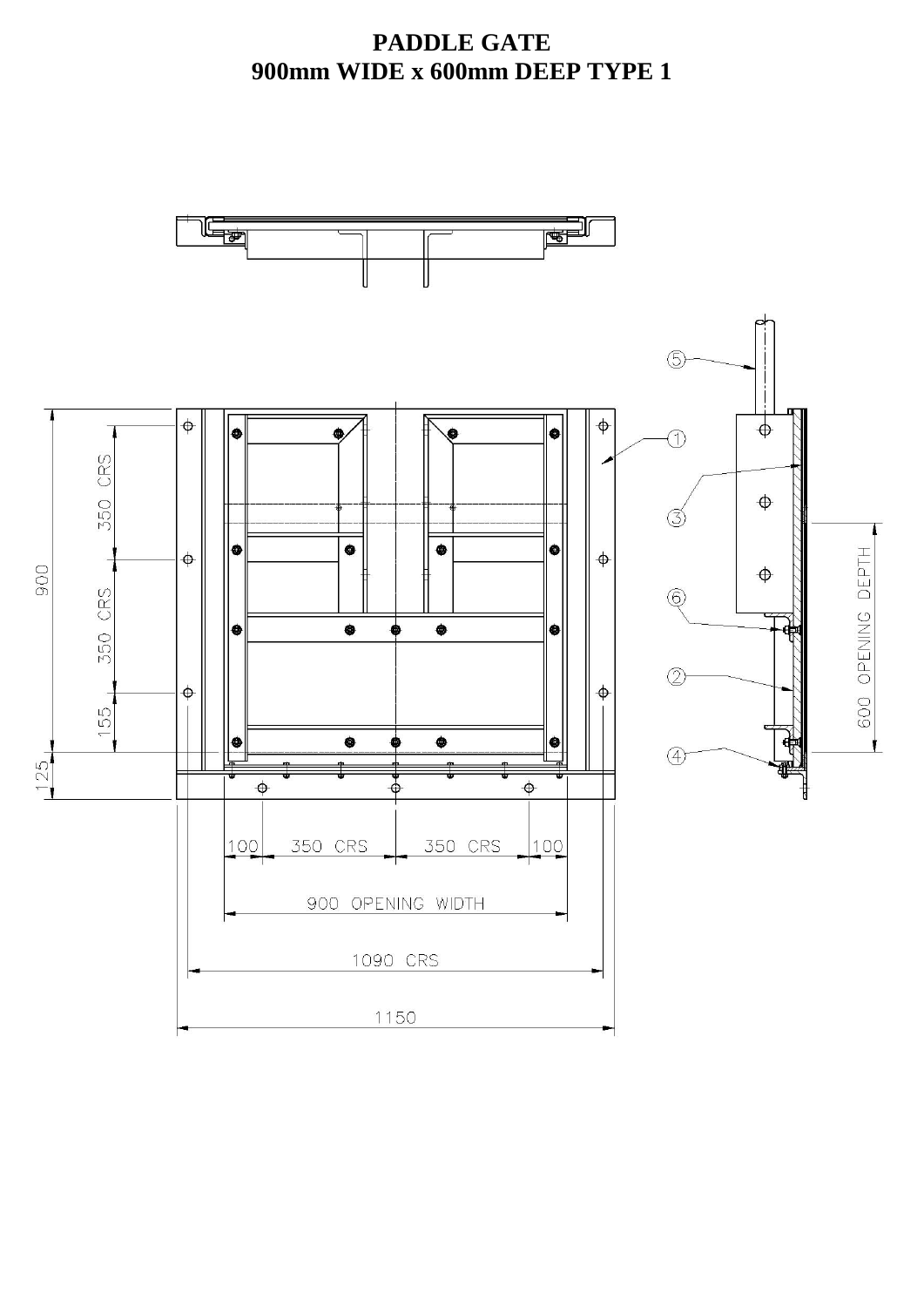### **PADDLE GATE 900mm WIDE x 600mm DEEP TYPE 1**

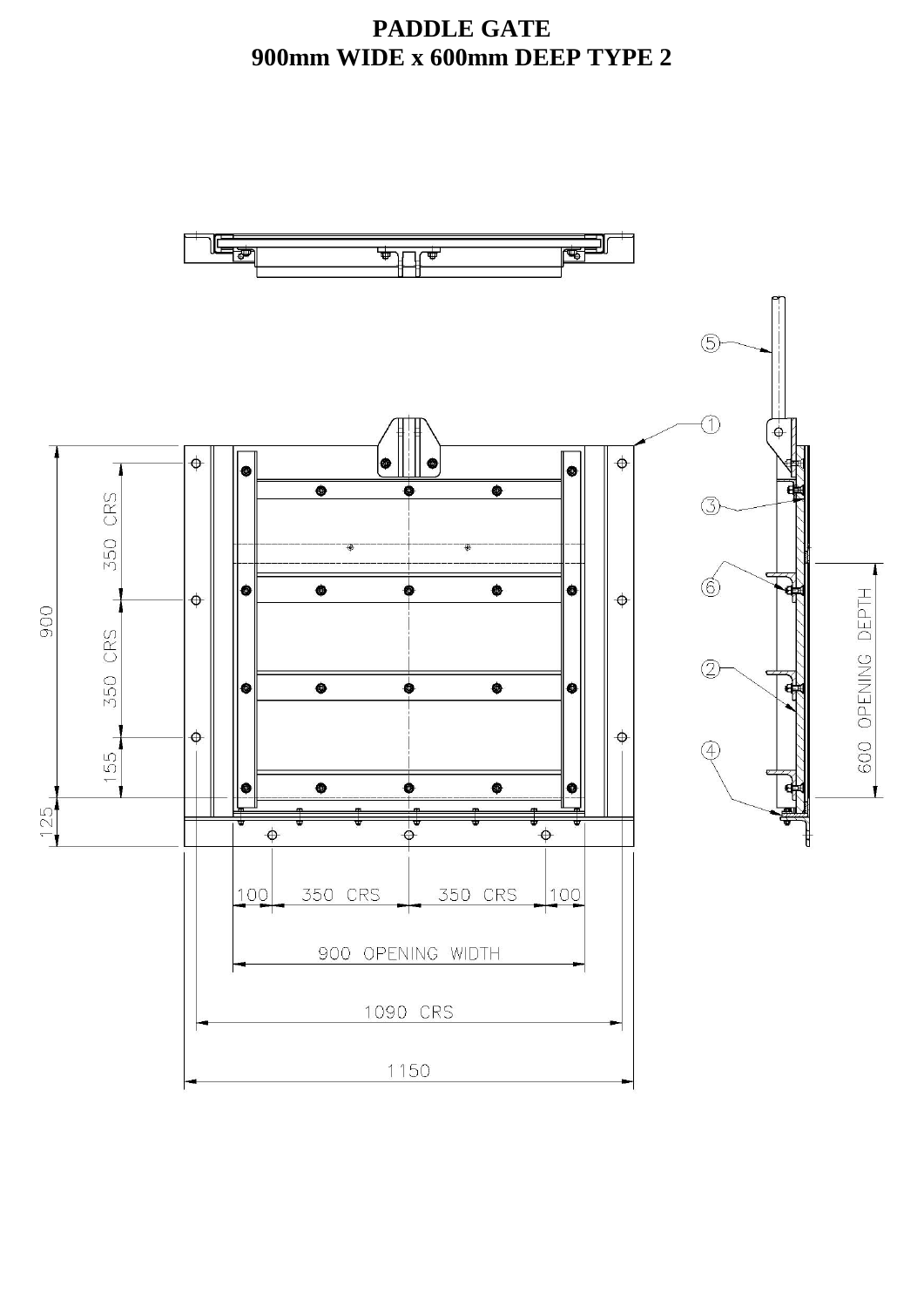### **PADDLE GATE 900mm WIDE x 600mm DEEP TYPE 2**